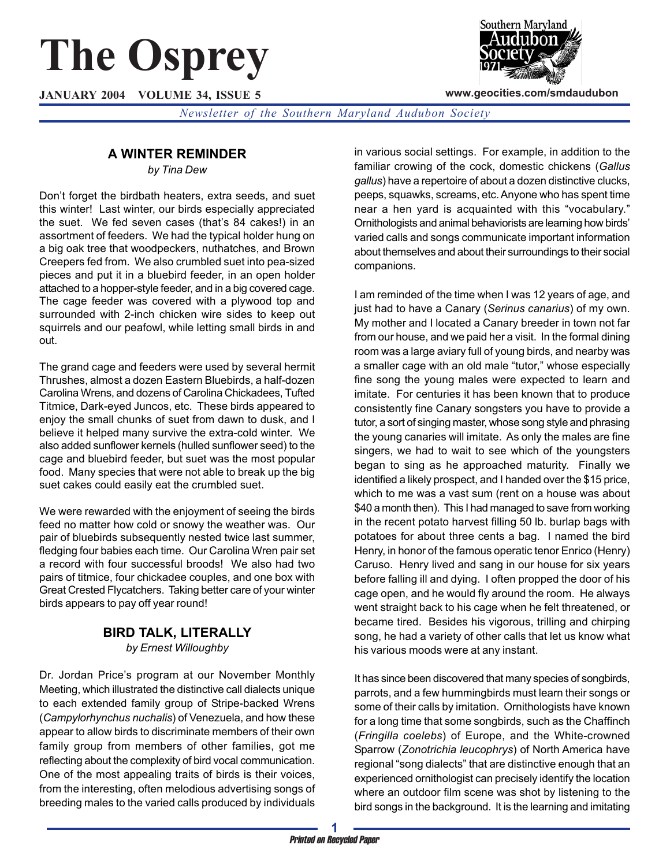# **The Osprey**

**JANUARY 2004 VOLUME 34, ISSUE 5**



**www.geocities.com/smdaudubon**

*Newsletter of the Southern Maryland Audubon Society*

## **A WINTER REMINDER**

*by Tina Dew*

Don't forget the birdbath heaters, extra seeds, and suet this winter! Last winter, our birds especially appreciated the suet. We fed seven cases (that's 84 cakes!) in an assortment of feeders. We had the typical holder hung on a big oak tree that woodpeckers, nuthatches, and Brown Creepers fed from. We also crumbled suet into pea-sized pieces and put it in a bluebird feeder, in an open holder attached to a hopper-style feeder, and in a big covered cage. The cage feeder was covered with a plywood top and surrounded with 2-inch chicken wire sides to keep out squirrels and our peafowl, while letting small birds in and out.

The grand cage and feeders were used by several hermit Thrushes, almost a dozen Eastern Bluebirds, a half-dozen Carolina Wrens, and dozens of Carolina Chickadees, Tufted Titmice, Dark-eyed Juncos, etc. These birds appeared to enjoy the small chunks of suet from dawn to dusk, and I believe it helped many survive the extra-cold winter. We also added sunflower kernels (hulled sunflower seed) to the cage and bluebird feeder, but suet was the most popular food. Many species that were not able to break up the big suet cakes could easily eat the crumbled suet.

We were rewarded with the enjoyment of seeing the birds feed no matter how cold or snowy the weather was. Our pair of bluebirds subsequently nested twice last summer, fledging four babies each time. Our Carolina Wren pair set a record with four successful broods! We also had two pairs of titmice, four chickadee couples, and one box with Great Crested Flycatchers. Taking better care of your winter birds appears to pay off year round!

#### **BIRD TALK, LITERALLY** *by Ernest Willoughby*

Dr. Jordan Price's program at our November Monthly Meeting, which illustrated the distinctive call dialects unique to each extended family group of Stripe-backed Wrens (*Campylorhynchus nuchalis*) of Venezuela, and how these appear to allow birds to discriminate members of their own family group from members of other families, got me reflecting about the complexity of bird vocal communication. One of the most appealing traits of birds is their voices, from the interesting, often melodious advertising songs of breeding males to the varied calls produced by individuals

in various social settings. For example, in addition to the familiar crowing of the cock, domestic chickens (*Gallus gallus*) have a repertoire of about a dozen distinctive clucks, peeps, squawks, screams, etc. Anyone who has spent time near a hen yard is acquainted with this "vocabulary." Ornithologists and animal behaviorists are learning how birds' varied calls and songs communicate important information about themselves and about their surroundings to their social companions.

I am reminded of the time when I was 12 years of age, and just had to have a Canary (*Serinus canarius*) of my own. My mother and I located a Canary breeder in town not far from our house, and we paid her a visit. In the formal dining room was a large aviary full of young birds, and nearby was a smaller cage with an old male "tutor," whose especially fine song the young males were expected to learn and imitate. For centuries it has been known that to produce consistently fine Canary songsters you have to provide a tutor, a sort of singing master, whose song style and phrasing the young canaries will imitate. As only the males are fine singers, we had to wait to see which of the youngsters began to sing as he approached maturity. Finally we identified a likely prospect, and I handed over the \$15 price, which to me was a vast sum (rent on a house was about \$40 a month then). This I had managed to save from working in the recent potato harvest filling 50 lb. burlap bags with potatoes for about three cents a bag. I named the bird Henry, in honor of the famous operatic tenor Enrico (Henry) Caruso. Henry lived and sang in our house for six years before falling ill and dying. I often propped the door of his cage open, and he would fly around the room. He always went straight back to his cage when he felt threatened, or became tired. Besides his vigorous, trilling and chirping song, he had a variety of other calls that let us know what his various moods were at any instant.

It has since been discovered that many species of songbirds, parrots, and a few hummingbirds must learn their songs or some of their calls by imitation. Ornithologists have known for a long time that some songbirds, such as the Chaffinch (*Fringilla coelebs*) of Europe, and the White-crowned Sparrow (*Zonotrichia leucophrys*) of North America have regional "song dialects" that are distinctive enough that an experienced ornithologist can precisely identify the location where an outdoor film scene was shot by listening to the bird songs in the background. It is the learning and imitating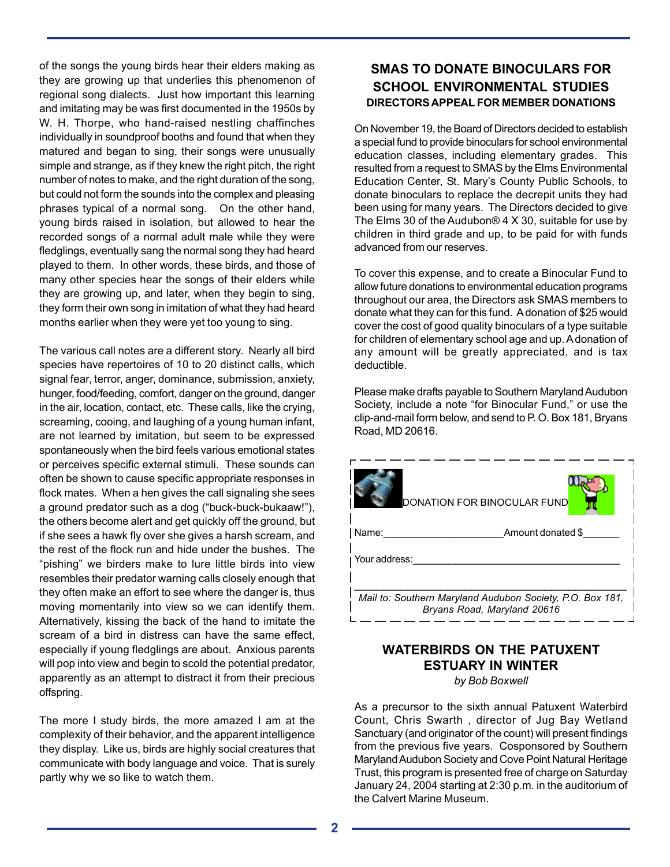of the songs the young birds hear their elders making as they are growing up that underlies this phenomenon of regional song dialects. Just how important this learning and imitating may be was first documented in the 1950s by W. H. Thorpe, who hand-raised nestling chaffinches individually in soundproof booths and found that when they matured and began to sing, their songs were unusually simple and strange, as if they knew the right pitch, the right number of notes to make, and the right duration of the song, but could not form the sounds into the complex and pleasing phrases typical of a normal song. On the other hand, young birds raised in isolation, but allowed to hear the recorded songs of a normal adult male while they were fledglings, eventually sang the normal song they had heard played to them. In other words, these birds, and those of many other species hear the songs of their elders while they are growing up, and later, when they begin to sing, they form their own song in imitation of what they had heard months earlier when they were yet too young to sing.

The various call notes are a different story. Nearly all bird species have repertoires of 10 to 20 distinct calls, which signal fear, terror, anger, dominance, submission, anxiety, hunger, food/feeding, comfort, danger on the ground, danger in the air, location, contact, etc. These calls, like the crying, screaming, cooing, and laughing of a young human infant, are not learned by imitation, but seem to be expressed spontaneously when the bird feels various emotional states or perceives specific external stimuli. These sounds can often be shown to cause specific appropriate responses in flock mates. When a hen gives the call signaling she sees a ground predator such as a dog ("buck-buck-bukaaw!"), the others become alert and get quickly off the ground, but if she sees a hawk fly over she gives a harsh scream, and the rest of the flock run and hide under the bushes. The "pishing" we birders make to lure little birds into view resembles their predator warning calls closely enough that they often make an effort to see where the danger is, thus moving momentarily into view so we can identify them. Alternatively, kissing the back of the hand to imitate the scream of a bird in distress can have the same effect, especially if young fledglings are about. Anxious parents will pop into view and begin to scold the potential predator, apparently as an attempt to distract it from their precious offspring.

The more I study birds, the more amazed I am at the complexity of their behavior, and the apparent intelligence they display. Like us, birds are highly social creatures that communicate with body language and voice. That is surely partly why we so like to watch them.

## **SMAS TO DONATE BINOCULARS FOR SCHOOL ENVIRONMENTAL STUDIES DIRECTORS APPEAL FOR MEMBER DONATIONS**

On November 19, the Board of Directors decided to establish a special fund to provide binoculars for school environmental education classes, including elementary grades. This resulted from a request to SMAS by the Elms Environmental Education Center, St. Mary's County Public Schools, to donate binoculars to replace the decrepit units they had been using for many years. The Directors decided to give The Elms 30 of the Audubon $@4X30$ , suitable for use by children in third grade and up, to be paid for with funds advanced from our reserves.

To cover this expense, and to create a Binocular Fund to allow future donations to environmental education programs throughout our area, the Directors ask SMAS members to donate what they can for this fund. A donation of \$25 would cover the cost of good quality binoculars of a type suitable for children of elementary school age and up. A donation of any amount will be greatly appreciated, and is tax deductible.

Please make drafts payable to Southern Maryland Audubon Society, include a note "for Binocular Fund," or use the clip-and-mail form below, and send to P. O. Box 181, Bryans Road, MD 20616.

| DONATION FOR BINOCULAR FUND                                                              |
|------------------------------------------------------------------------------------------|
| Name:<br>Amount donated \$                                                               |
| I Your address:                                                                          |
| Mail to: Southern Maryland Audubon Society, P.O. Box 181,<br>Bryans Road, Maryland 20616 |

## **WATERBIRDS ON THE PATUXENT ESTUARY IN WINTER**

*by Bob Boxwell*

As a precursor to the sixth annual Patuxent Waterbird Count, Chris Swarth , director of Jug Bay Wetland Sanctuary (and originator of the count) will present findings from the previous five years. Cosponsored by Southern Maryland Audubon Society and Cove Point Natural Heritage Trust, this program is presented free of charge on Saturday January 24, 2004 starting at 2:30 p.m. in the auditorium of the Calvert Marine Museum.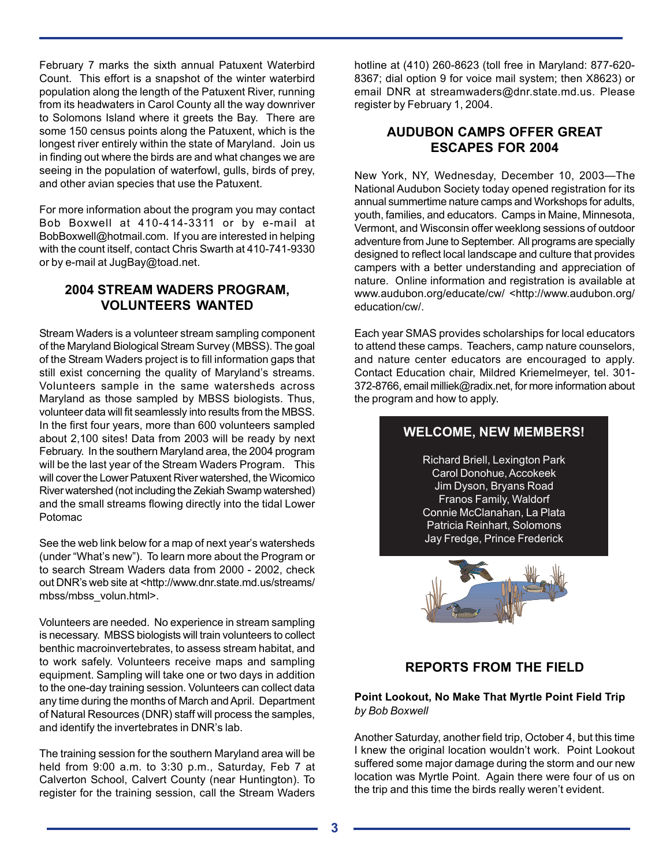February 7 marks the sixth annual Patuxent Waterbird Count. This effort is a snapshot of the winter waterbird population along the length of the Patuxent River, running from its headwaters in Carol County all the way downriver to Solomons Island where it greets the Bay. There are some 150 census points along the Patuxent, which is the longest river entirely within the state of Maryland. Join us in finding out where the birds are and what changes we are seeing in the population of waterfowl, gulls, birds of prey, and other avian species that use the Patuxent.

For more information about the program you may contact Bob Boxwell at 410-414-3311 or by e-mail at BobBoxwell@hotmail.com. If you are interested in helping with the count itself, contact Chris Swarth at 410-741-9330 or by e-mail at JugBay@toad.net.

#### **2004 STREAM WADERS PROGRAM, VOLUNTEERS WANTED**

Stream Waders is a volunteer stream sampling component of the Maryland Biological Stream Survey (MBSS). The goal of the Stream Waders project is to fill information gaps that still exist concerning the quality of Maryland's streams. Volunteers sample in the same watersheds across Maryland as those sampled by MBSS biologists. Thus, volunteer data will fit seamlessly into results from the MBSS. In the first four years, more than 600 volunteers sampled about 2,100 sites! Data from 2003 will be ready by next February. In the southern Maryland area, the 2004 program will be the last year of the Stream Waders Program. This will cover the Lower Patuxent River watershed, the Wicomico River watershed (not including the Zekiah Swamp watershed) and the small streams flowing directly into the tidal Lower Potomac

See the web link below for a map of next year's watersheds (under "What's new"). To learn more about the Program or to search Stream Waders data from 2000 - 2002, check out DNR's web site at <http://www.dnr.state.md.us/streams/ mbss/mbss\_volun.html>.

Volunteers are needed. No experience in stream sampling is necessary. MBSS biologists will train volunteers to collect benthic macroinvertebrates, to assess stream habitat, and to work safely. Volunteers receive maps and sampling equipment. Sampling will take one or two days in addition to the one-day training session. Volunteers can collect data any time during the months of March and April. Department of Natural Resources (DNR) staff will process the samples, and identify the invertebrates in DNR's lab.

The training session for the southern Maryland area will be held from 9:00 a.m. to 3:30 p.m., Saturday, Feb 7 at Calverton School, Calvert County (near Huntington). To register for the training session, call the Stream Waders hotline at (410) 260-8623 (toll free in Maryland: 877-620- 8367; dial option 9 for voice mail system; then X8623) or email DNR at streamwaders@dnr.state.md.us. Please register by February 1, 2004.

### **AUDUBON CAMPS OFFER GREAT ESCAPES FOR 2004**

New York, NY, Wednesday, December 10, 2003—The National Audubon Society today opened registration for its annual summertime nature camps and Workshops for adults, youth, families, and educators. Camps in Maine, Minnesota, Vermont, and Wisconsin offer weeklong sessions of outdoor adventure from June to September. All programs are specially designed to reflect local landscape and culture that provides campers with a better understanding and appreciation of nature. Online information and registration is available at www.audubon.org/educate/cw/ <http://www.audubon.org/ education/cw/.

Each year SMAS provides scholarships for local educators to attend these camps. Teachers, camp nature counselors, and nature center educators are encouraged to apply. Contact Education chair, Mildred Kriemelmeyer, tel. 301- 372-8766, email milliek@radix.net, for more information about the program and how to apply.

## **WELCOME, NEW MEMBERS!**

Richard Briell, Lexington Park Carol Donohue, Accokeek Jim Dyson, Bryans Road Franos Family, Waldorf Connie McClanahan, La Plata Patricia Reinhart, Solomons Jay Fredge, Prince Frederick



## **REPORTS FROM THE FIELD**

#### **Point Lookout, No Make That Myrtle Point Field Trip** *by Bob Boxwell*

Another Saturday, another field trip, October 4, but this time I knew the original location wouldn't work. Point Lookout suffered some major damage during the storm and our new location was Myrtle Point. Again there were four of us on the trip and this time the birds really weren't evident.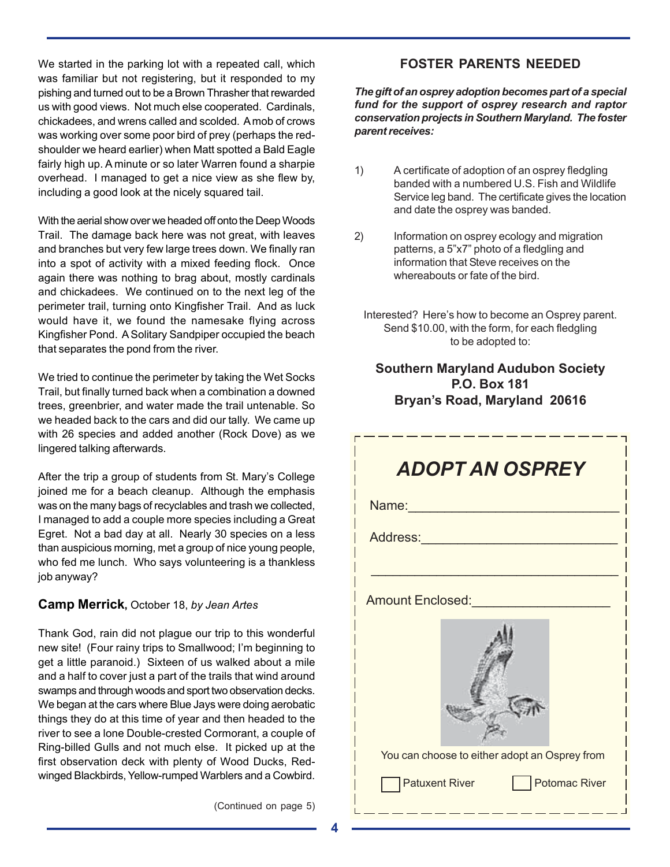We started in the parking lot with a repeated call, which was familiar but not registering, but it responded to my pishing and turned out to be a Brown Thrasher that rewarded us with good views. Not much else cooperated. Cardinals, chickadees, and wrens called and scolded. A mob of crows was working over some poor bird of prey (perhaps the redshoulder we heard earlier) when Matt spotted a Bald Eagle fairly high up. A minute or so later Warren found a sharpie overhead. I managed to get a nice view as she flew by, including a good look at the nicely squared tail.

With the aerial show over we headed off onto the Deep Woods Trail. The damage back here was not great, with leaves and branches but very few large trees down. We finally ran into a spot of activity with a mixed feeding flock. Once again there was nothing to brag about, mostly cardinals and chickadees. We continued on to the next leg of the perimeter trail, turning onto Kingfisher Trail. And as luck would have it, we found the namesake flying across Kingfisher Pond. A Solitary Sandpiper occupied the beach that separates the pond from the river.

We tried to continue the perimeter by taking the Wet Socks Trail, but finally turned back when a combination a downed trees, greenbrier, and water made the trail untenable. So we headed back to the cars and did our tally. We came up with 26 species and added another (Rock Dove) as we lingered talking afterwards.

After the trip a group of students from St. Mary's College joined me for a beach cleanup. Although the emphasis was on the many bags of recyclables and trash we collected, I managed to add a couple more species including a Great Egret. Not a bad day at all. Nearly 30 species on a less than auspicious morning, met a group of nice young people, who fed me lunch. Who says volunteering is a thankless job anyway?

#### **Camp Merrick,** October 18, *by Jean Artes*

Thank God, rain did not plague our trip to this wonderful new site! (Four rainy trips to Smallwood; I'm beginning to get a little paranoid.) Sixteen of us walked about a mile and a half to cover just a part of the trails that wind around swamps and through woods and sport two observation decks. We began at the cars where Blue Jays were doing aerobatic things they do at this time of year and then headed to the river to see a lone Double-crested Cormorant, a couple of Ring-billed Gulls and not much else. It picked up at the first observation deck with plenty of Wood Ducks, Redwinged Blackbirds, Yellow-rumped Warblers and a Cowbird.

#### **FOSTER PARENTS NEEDED**

*The gift of an osprey adoption becomes part of a special fund for the support of osprey research and raptor conservation projects in Southern Maryland. The foster parent receives:*

- 1) A certificate of adoption of an osprey fledgling banded with a numbered U.S. Fish and Wildlife Service leg band. The certificate gives the location and date the osprey was banded.
- 2) Information on osprey ecology and migration patterns, a 5"x7" photo of a fledgling and information that Steve receives on the whereabouts or fate of the bird.
	- Interested? Here's how to become an Osprey parent. Send \$10.00, with the form, for each fledgling to be adopted to:

## **Southern Maryland Audubon Society P.O. Box 181 Bryan's Road, Maryland 20616**

| <b>ADOPT AN OSPREY</b>                        |  |  |  |  |  |
|-----------------------------------------------|--|--|--|--|--|
| Name: <b>Name</b>                             |  |  |  |  |  |
| Address:                                      |  |  |  |  |  |
|                                               |  |  |  |  |  |
| <b>Amount Enclosed:</b>                       |  |  |  |  |  |
|                                               |  |  |  |  |  |
| You can choose to either adopt an Osprey from |  |  |  |  |  |
| Potomac River<br><b>Patuxent River</b>        |  |  |  |  |  |

(Continued on page 5)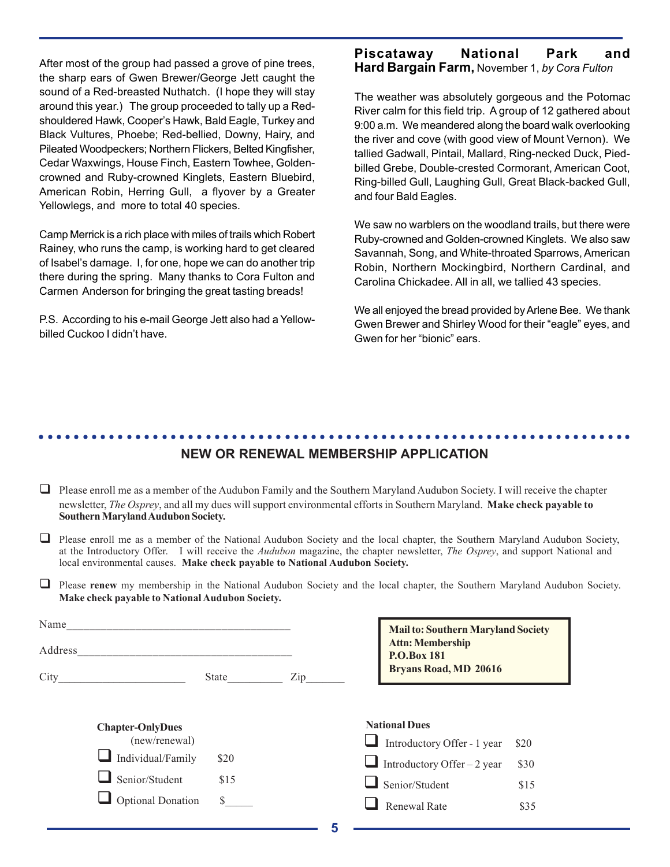After most of the group had passed a grove of pine trees, the sharp ears of Gwen Brewer/George Jett caught the sound of a Red-breasted Nuthatch. (I hope they will stay around this year.) The group proceeded to tally up a Redshouldered Hawk, Cooper's Hawk, Bald Eagle, Turkey and Black Vultures, Phoebe; Red-bellied, Downy, Hairy, and Pileated Woodpeckers; Northern Flickers, Belted Kingfisher, Cedar Waxwings, House Finch, Eastern Towhee, Goldencrowned and Ruby-crowned Kinglets, Eastern Bluebird, American Robin, Herring Gull, a flyover by a Greater Yellowlegs, and more to total 40 species.

Camp Merrick is a rich place with miles of trails which Robert Rainey, who runs the camp, is working hard to get cleared of Isabel's damage. I, for one, hope we can do another trip there during the spring. Many thanks to Cora Fulton and Carmen Anderson for bringing the great tasting breads!

P.S. According to his e-mail George Jett also had a Yellowbilled Cuckoo I didn't have.

#### **Piscataway National Park and Hard Bargain Farm,** November 1, *by Cora Fulton*

The weather was absolutely gorgeous and the Potomac River calm for this field trip. A group of 12 gathered about 9:00 a.m. We meandered along the board walk overlooking the river and cove (with good view of Mount Vernon). We tallied Gadwall, Pintail, Mallard, Ring-necked Duck, Piedbilled Grebe, Double-crested Cormorant, American Coot, Ring-billed Gull, Laughing Gull, Great Black-backed Gull, and four Bald Eagles.

We saw no warblers on the woodland trails, but there were Ruby-crowned and Golden-crowned Kinglets. We also saw Savannah, Song, and White-throated Sparrows, American Robin, Northern Mockingbird, Northern Cardinal, and Carolina Chickadee. All in all, we tallied 43 species.

We all enjoyed the bread provided by Arlene Bee. We thank Gwen Brewer and Shirley Wood for their "eagle" eyes, and Gwen for her "bionic" ears.

#### **NEW OR RENEWAL MEMBERSHIP APPLICATION** ○○○○○○○○○○○○○○○○○○○○○○○○○○○○○○○○○○○○○○○○○○○○○ ○○○○○○○○○○○○○○○○○○○○○○○

- $\Box$  Please enroll me as a member of the Audubon Family and the Southern Maryland Audubon Society. I will receive the chapter newsletter, *The Osprey*, and all my dues will support environmental efforts in Southern Maryland. **Make check payable to Southern Maryland Audubon Society.**
- $\Box$  Please enroll me as a member of the National Audubon Society and the local chapter, the Southern Maryland Audubon Society, at the Introductory Offer.I will receive the *Audubon* magazine, the chapter newsletter, *The Osprey*, and support National and local environmental causes. **Make check payable to National Audubon Society.**
- **Please renew** my membership in the National Audubon Society and the local chapter, the Southern Maryland Audubon Society. **Make check payable to National Audubon Society.**

| Name                            |              |     | <b>Mail to: Southern Maryland Society</b><br><b>Attn: Membership</b><br>P.O.Box 181<br><b>Bryans Road, MD 20616</b> |      |
|---------------------------------|--------------|-----|---------------------------------------------------------------------------------------------------------------------|------|
| Address                         |              |     |                                                                                                                     |      |
| City<br><b>Chapter-OnlyDues</b> | State        | Zip | <b>National Dues</b>                                                                                                |      |
| (new/renewal)                   |              |     | Introductory Offer - 1 year                                                                                         | \$20 |
| Individual/Family               | \$20         |     | Introductory Offer – 2 year                                                                                         | \$30 |
| Senior/Student                  | \$15         |     | Senior/Student                                                                                                      | \$15 |
| <b>Optional Donation</b>        | $\mathbb{S}$ |     | <b>Renewal Rate</b>                                                                                                 | \$35 |